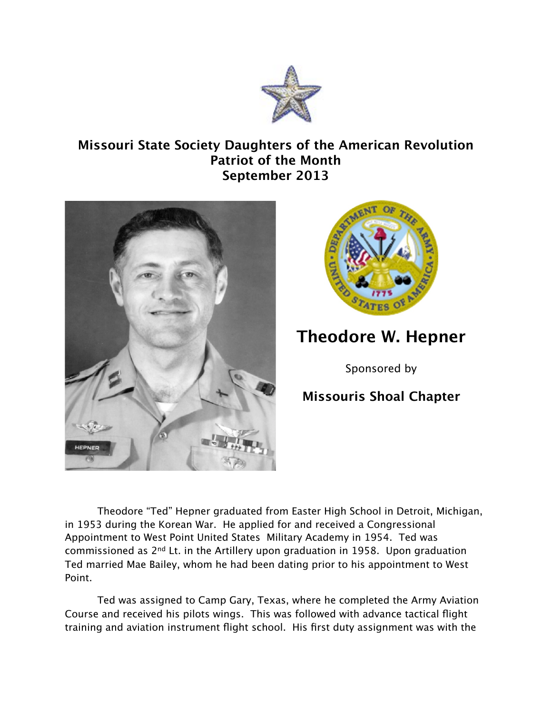

## **Missouri State Society Daughters of the American Revolution Patriot of the Month September 2013**





## **Theodore W. Hepner**

Sponsored by

## **Missouris Shoal Chapter**

Theodore "Ted" Hepner graduated from Easter High School in Detroit, Michigan, in 1953 during the Korean War. He applied for and received a Congressional Appointment to West Point United States Military Academy in 1954. Ted was commissioned as 2nd Lt. in the Artillery upon graduation in 1958. Upon graduation Ted married Mae Bailey, whom he had been dating prior to his appointment to West Point.

Ted was assigned to Camp Gary, Texas, where he completed the Army Aviation Course and received his pilots wings. This was followed with advance tactical flight training and aviation instrument flight school. His first duty assignment was with the